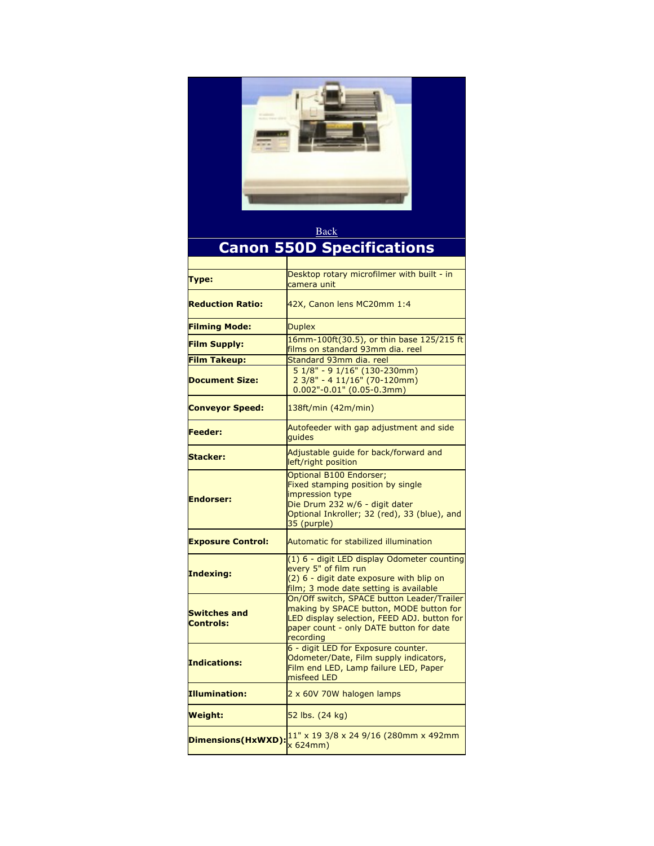

## Back **Canon 550D Specifications**

| Type:                                   | Desktop rotary microfilmer with built - in<br>camera unit                                                                                                                                    |
|-----------------------------------------|----------------------------------------------------------------------------------------------------------------------------------------------------------------------------------------------|
| <b>Reduction Ratio:</b>                 | 42X, Canon lens MC20mm 1:4                                                                                                                                                                   |
| <b>Filming Mode:</b>                    | <b>Duplex</b>                                                                                                                                                                                |
| <b>Film Supply:</b>                     | 16mm-100ft(30.5), or thin base 125/215 ft<br>films on standard 93mm dia. reel                                                                                                                |
| <b>Film Takeup:</b>                     | Standard 93mm dia, reel                                                                                                                                                                      |
| <b>Document Size:</b>                   | $51/8" - 91/16" (130-230mm)$<br>$23/8" - 411/16" (70-120mm)$<br>$0.002" - 0.01"$ (0.05-0.3mm)                                                                                                |
| <b>Conveyor Speed:</b>                  | 138ft/min (42m/min)                                                                                                                                                                          |
| Feeder:                                 | Autofeeder with gap adjustment and side<br>quides                                                                                                                                            |
| <b>Stacker:</b>                         | Adjustable quide for back/forward and<br>left/right position                                                                                                                                 |
| <b>Endorser:</b>                        | Optional B100 Endorser;<br>Fixed stamping position by single<br>impression type<br>Die Drum 232 w/6 - digit dater<br>Optional Inkroller; 32 (red), 33 (blue), and<br>35 (purple)             |
| <b>Exposure Control:</b>                | Automatic for stabilized illumination                                                                                                                                                        |
| Indexing:                               | (1) 6 - digit LED display Odometer counting<br>every 5" of film run<br>(2) 6 - digit date exposure with blip on<br>film; 3 mode date setting is available                                    |
| <b>Switches and</b><br><b>Controls:</b> | On/Off switch, SPACE button Leader/Trailer<br>making by SPACE button, MODE button for<br>LED display selection, FEED ADJ. button for<br>paper count - only DATE button for date<br>recording |
| <b>Indications:</b>                     | 6 - digit LED for Exposure counter.<br>Odometer/Date, Film supply indicators,<br>Film end LED, Lamp failure LED, Paper<br>misfeed LED                                                        |
| <b>Illumination:</b>                    | 2 x 60V 70W halogen lamps                                                                                                                                                                    |
| Weight:                                 | 52 lbs. (24 kg)                                                                                                                                                                              |
| Dimensions(HxWXD):                      | 11" x 19 3/8 x 24 9/16 (280mm x 492mm<br>x 624mm)                                                                                                                                            |